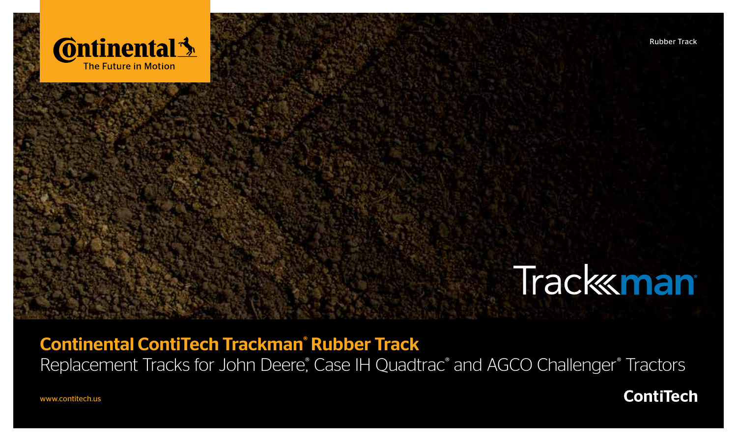

# **Track man**

### Continental ContiTech Trackman® Rubber Track

Replacement Tracks for John Deere, Case IH Quadtrac<sup>®</sup> and AGCO Challenger<sup>®</sup> Tractors

**ContiTech** 

www.contitech.us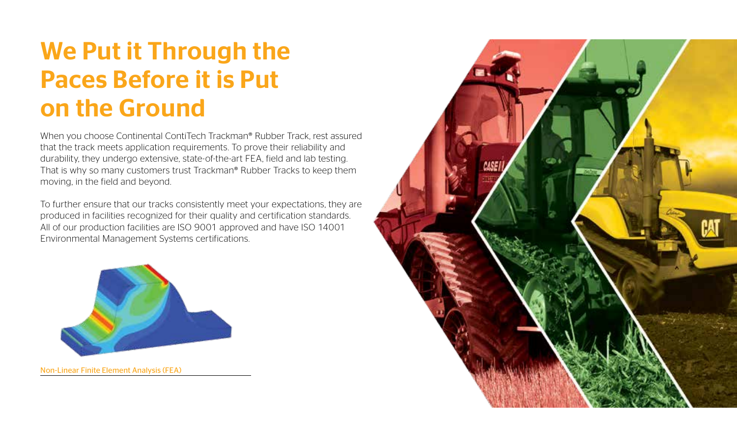## We Put it Through the Paces Before it is Put on the Ground

When you choose Continental ContiTech Trackman® Rubber Track, rest assured that the track meets application requirements. To prove their reliability and durability, they undergo extensive, state-of-the-art FEA, field and lab testing. That is why so many customers trust Trackman® Rubber Tracks to keep them moving, in the field and beyond.

To further ensure that our tracks consistently meet your expectations, they are produced in facilities recognized for their quality and certification standards. All of our production facilities are ISO 9001 approved and have ISO 14001 Environmental Management Systems certifications.



Non-Linear Finite Element Analysis (FEA)

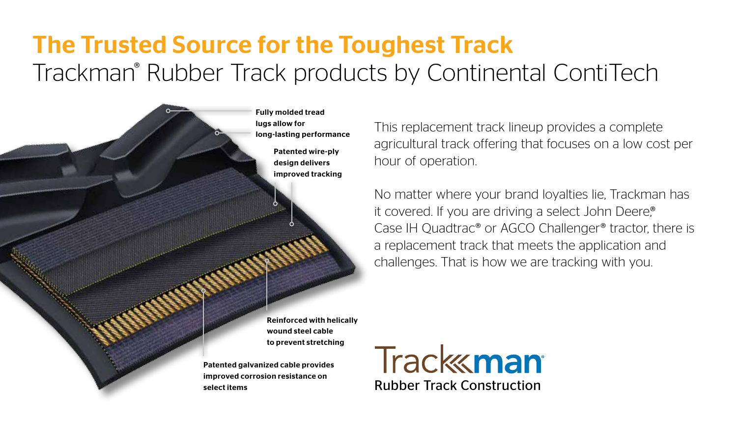### The Trusted Source for the Toughest Track Trackman® Rubber Track products by Continental ContiTech

Fully molded tread lugs allow for long-lasting performance Patented wire-ply design delivers improved tracking

This replacement track lineup provides a complete agricultural track offering that focuses on a low cost per hour of operation.

No matter where your brand loyalties lie, Trackman has it covered. If you are driving a select John Deere® Case IH Quadtrac® or AGCO Challenger® tractor, there is a replacement track that meets the application and challenges. That is how we are tracking with you.

Reinforced with helically wound steel cable to prevent stretching

Patented galvanized cable provides improved corrosion resistance on select items

**Track koman** Rubber Track Construction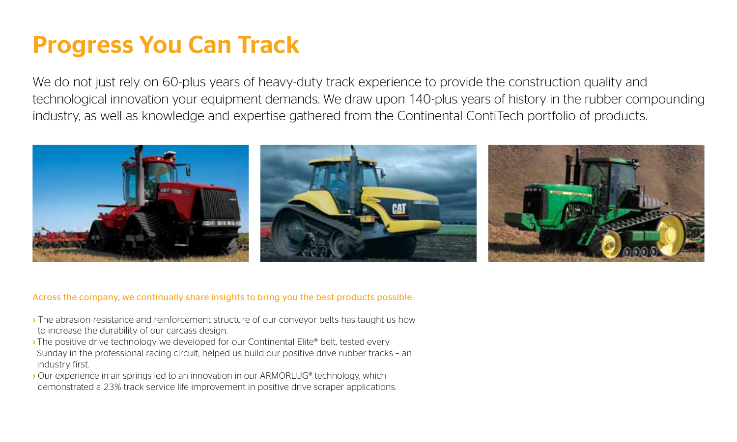### Progress You Can Track

We do not just rely on 60-plus years of heavy-duty track experience to provide the construction quality and technological innovation your equipment demands. We draw upon 140-plus years of history in the rubber compounding industry, as well as knowledge and expertise gathered from the Continental ContiTech portfolio of products.



#### Across the company, we continually share insights to bring you the best products possible

- › The abrasion-resistance and reinforcement structure of our conveyor belts has taught us how to increase the durability of our carcass design.
- › The positive drive technology we developed for our Continental Elite® belt, tested every Sunday in the professional racing circuit, helped us build our positive drive rubber tracks – an industry first.
- › Our experience in air springs led to an innovation in our ARMORLUG® technology, which demonstrated a 23% track service life improvement in positive drive scraper applications.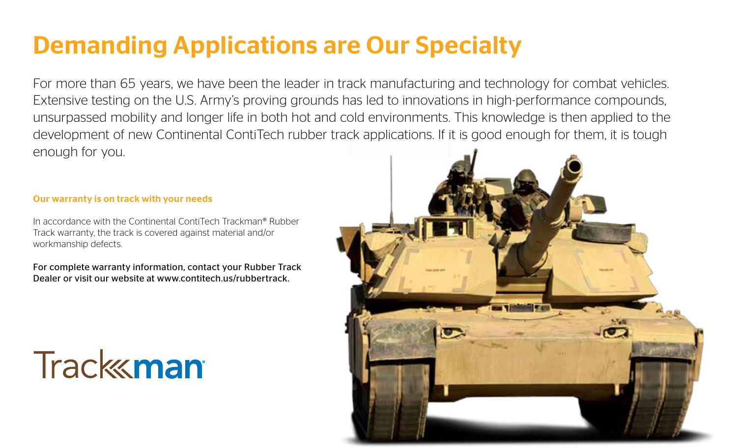## Demanding Applications are Our Specialty

For more than 65 years, we have been the leader in track manufacturing and technology for combat vehicles. Extensive testing on the U.S. Army's proving grounds has led to innovations in high-performance compounds, unsurpassed mobility and longer life in both hot and cold environments. This knowledge is then applied to the development of new Continental ContiTech rubber track applications. If it is good enough for them, it is tough enough for you.

#### Our warranty is on track with your needs

In accordance with the Continental ContiTech Trackman® Rubber Track warranty, the track is covered against material and/or workmanship defects.

For complete warranty information, contact your Rubber Track Dealer or visit our website at www.contitech.us/rubbertrack.